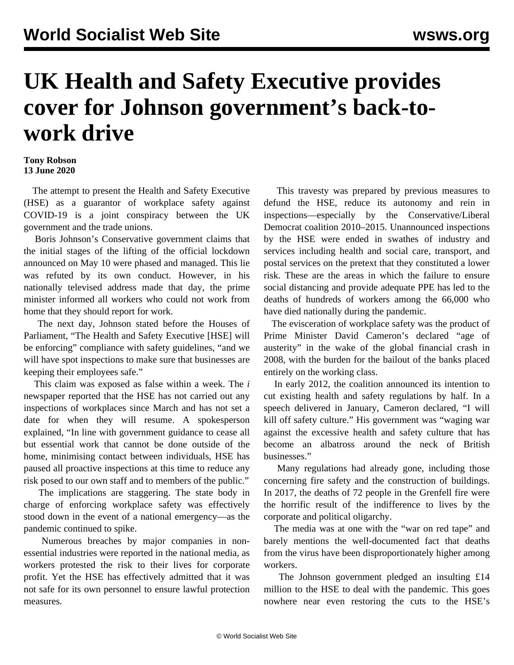## **UK Health and Safety Executive provides cover for Johnson government's back-towork drive**

## **Tony Robson 13 June 2020**

 The attempt to present the Health and Safety Executive (HSE) as a guarantor of workplace safety against COVID-19 is a joint conspiracy between the UK government and the trade unions.

 Boris Johnson's Conservative government claims that the initial stages of the lifting of the official lockdown announced on May 10 were phased and managed. This lie was refuted by its own conduct. However, in his nationally televised address made that day, the prime minister informed all workers who could not work from home that they should report for work.

 The next day, Johnson stated before the Houses of Parliament, "The Health and Safety Executive [HSE] will be enforcing" compliance with safety guidelines, "and we will have spot inspections to make sure that businesses are keeping their employees safe."

 This claim was exposed as false within a week. The *i* newspaper reported that the HSE has not carried out any inspections of workplaces since March and has not set a date for when they will resume. A spokesperson explained, "In line with government guidance to cease all but essential work that cannot be done outside of the home, minimising contact between individuals, HSE has paused all proactive inspections at this time to reduce any risk posed to our own staff and to members of the public."

 The implications are staggering. The state body in charge of enforcing workplace safety was effectively stood down in the event of a national emergency—as the pandemic continued to spike.

 Numerous breaches by major companies in nonessential industries were reported in the national media, as workers protested the risk to their lives for corporate profit. Yet the HSE has effectively admitted that it was not safe for its own personnel to ensure lawful protection measures.

 This travesty was prepared by previous measures to defund the HSE, reduce its autonomy and rein in inspections—especially by the Conservative/Liberal Democrat coalition 2010–2015. Unannounced inspections by the HSE were ended in swathes of industry and services including health and social care, transport, and postal services on the pretext that they constituted a lower risk. These are the areas in which the failure to ensure social distancing and provide adequate PPE has led to the deaths of hundreds of workers among the 66,000 who have died nationally during the pandemic.

 The evisceration of workplace safety was the product of Prime Minister David Cameron's declared "age of austerity" in the wake of the global financial crash in 2008, with the burden for the bailout of the banks placed entirely on the working class.

 In early 2012, the coalition announced its intention to cut existing health and safety regulations by half. In a speech delivered in January, Cameron declared, "I will kill off safety culture." His government was "waging war against the excessive health and safety culture that has become an albatross around the neck of British businesses."

 Many regulations had already gone, including those concerning fire safety and the construction of buildings. In 2017, the deaths of 72 people in the Grenfell fire were the horrific result of the indifference to lives by the corporate and political oligarchy.

 The media was at one with the "war on red tape" and barely mentions the well-documented fact that deaths from the virus have been disproportionately higher among workers.

 The Johnson government pledged an insulting £14 million to the HSE to deal with the pandemic. This goes nowhere near even restoring the cuts to the HSE's